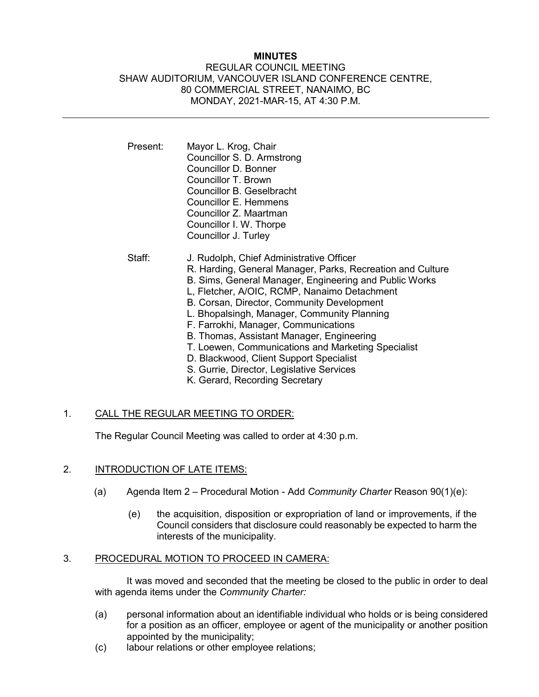# **MINUTES**

# REGULAR COUNCIL MEETING SHAW AUDITORIUM, VANCOUVER ISLAND CONFERENCE CENTRE, 80 COMMERCIAL STREET, NANAIMO, BC MONDAY, 2021-MAR-15, AT 4:30 P.M.

- Present: Mayor L. Krog, Chair Councillor S. D. Armstrong Councillor D. Bonner Councillor T. Brown Councillor B. Geselbracht Councillor E. Hemmens Councillor Z. Maartman Councillor I. W. Thorpe Councillor J. Turley
- Staff: J. Rudolph, Chief Administrative Officer R. Harding, General Manager, Parks, Recreation and Culture B. Sims, General Manager, Engineering and Public Works L, Fletcher, A/OIC, RCMP, Nanaimo Detachment B. Corsan, Director, Community Development L. Bhopalsingh, Manager, Community Planning F. Farrokhi, Manager, Communications B. Thomas, Assistant Manager, Engineering T. Loewen, Communications and Marketing Specialist D. Blackwood, Client Support Specialist S. Gurrie, Director, Legislative Services K. Gerard, Recording Secretary

# 1. CALL THE REGULAR MEETING TO ORDER:

The Regular Council Meeting was called to order at 4:30 p.m.

# 2. INTRODUCTION OF LATE ITEMS:

- (a) Agenda Item 2 Procedural Motion Add *Community Charter* Reason 90(1)(e):
	- (e) the acquisition, disposition or expropriation of land or improvements, if the Council considers that disclosure could reasonably be expected to harm the interests of the municipality.

# 3. PROCEDURAL MOTION TO PROCEED IN CAMERA:

It was moved and seconded that the meeting be closed to the public in order to deal with agenda items under the *Community Charter:*

- (a) personal information about an identifiable individual who holds or is being considered for a position as an officer, employee or agent of the municipality or another position appointed by the municipality;
- (c) labour relations or other employee relations;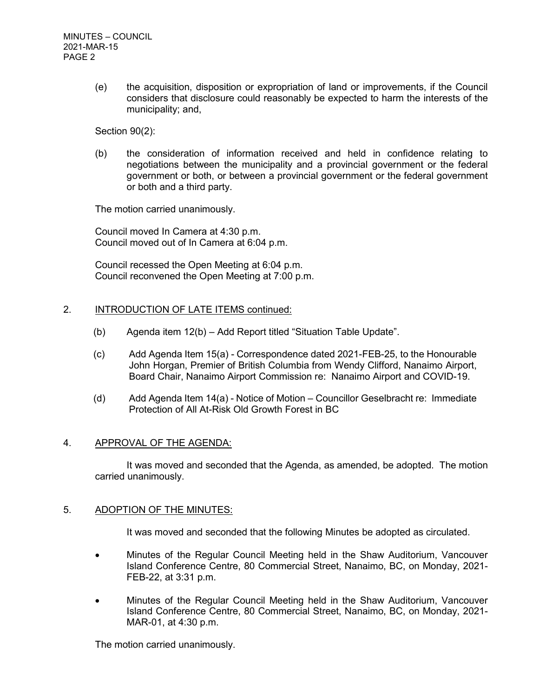(e) the acquisition, disposition or expropriation of land or improvements, if the Council considers that disclosure could reasonably be expected to harm the interests of the municipality; and,

Section 90(2):

(b) the consideration of information received and held in confidence relating to negotiations between the municipality and a provincial government or the federal government or both, or between a provincial government or the federal government or both and a third party.

The motion carried unanimously.

Council moved In Camera at 4:30 p.m. Council moved out of In Camera at 6:04 p.m.

Council recessed the Open Meeting at 6:04 p.m. Council reconvened the Open Meeting at 7:00 p.m.

#### 2. **INTRODUCTION OF LATE ITEMS continued:**

- (b) Agenda item 12(b) Add Report titled "Situation Table Update".
- (c) Add Agenda Item 15(a) Correspondence dated 2021-FEB-25, to the Honourable John Horgan, Premier of British Columbia from Wendy Clifford, Nanaimo Airport, Board Chair, Nanaimo Airport Commission re: Nanaimo Airport and COVID-19.
- (d) Add Agenda Item 14(a) Notice of Motion Councillor Geselbracht re: Immediate Protection of All At-Risk Old Growth Forest in BC

# 4. APPROVAL OF THE AGENDA:

It was moved and seconded that the Agenda, as amended, be adopted. The motion carried unanimously.

#### 5. ADOPTION OF THE MINUTES:

It was moved and seconded that the following Minutes be adopted as circulated.

- Minutes of the Regular Council Meeting held in the Shaw Auditorium, Vancouver Island Conference Centre, 80 Commercial Street, Nanaimo, BC, on Monday, 2021- FEB-22, at 3:31 p.m.
- Minutes of the Regular Council Meeting held in the Shaw Auditorium, Vancouver Island Conference Centre, 80 Commercial Street, Nanaimo, BC, on Monday, 2021- MAR-01, at 4:30 p.m.

The motion carried unanimously.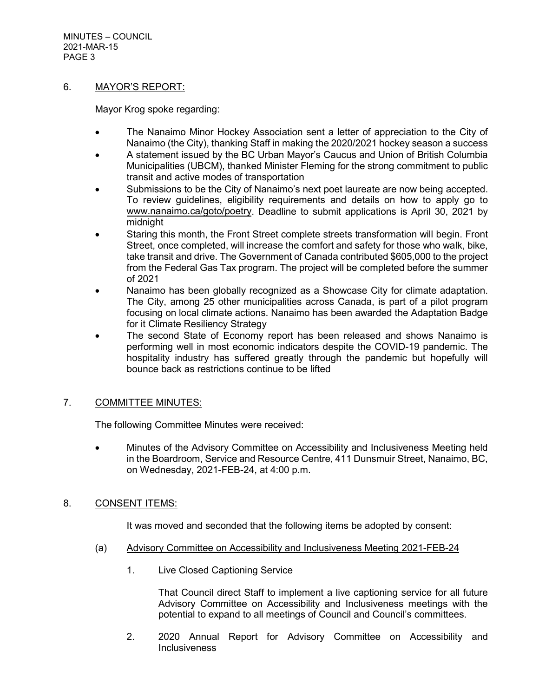MINUTES – COUNCIL 2021-MAR-15 PAGE 3

# 6. MAYOR'S REPORT:

Mayor Krog spoke regarding:

- The Nanaimo Minor Hockey Association sent a letter of appreciation to the City of Nanaimo (the City), thanking Staff in making the 2020/2021 hockey season a success
- A statement issued by the BC Urban Mayor's Caucus and Union of British Columbia Municipalities (UBCM), thanked Minister Fleming for the strong commitment to public transit and active modes of transportation
- Submissions to be the City of Nanaimo's next poet laureate are now being accepted. To review guidelines, eligibility requirements and details on how to apply go to [www.nanaimo.ca/goto/poetry.](http://www.nanaimo.ca/goto/poetry) Deadline to submit applications is April 30, 2021 by midnight
- Staring this month, the Front Street complete streets transformation will begin. Front Street, once completed, will increase the comfort and safety for those who walk, bike, take transit and drive. The Government of Canada contributed \$605,000 to the project from the Federal Gas Tax program. The project will be completed before the summer of 2021
- Nanaimo has been globally recognized as a Showcase City for climate adaptation. The City, among 25 other municipalities across Canada, is part of a pilot program focusing on local climate actions. Nanaimo has been awarded the Adaptation Badge for it Climate Resiliency Strategy
- The second State of Economy report has been released and shows Nanaimo is performing well in most economic indicators despite the COVID-19 pandemic. The hospitality industry has suffered greatly through the pandemic but hopefully will bounce back as restrictions continue to be lifted

# 7. COMMITTEE MINUTES:

The following Committee Minutes were received:

• Minutes of the Advisory Committee on Accessibility and Inclusiveness Meeting held in the Boardroom, Service and Resource Centre, 411 Dunsmuir Street, Nanaimo, BC, on Wednesday, 2021-FEB-24, at 4:00 p.m.

# 8. CONSENT ITEMS:

It was moved and seconded that the following items be adopted by consent:

- (a) Advisory Committee on Accessibility and Inclusiveness Meeting 2021-FEB-24
	- 1. Live Closed Captioning Service

That Council direct Staff to implement a live captioning service for all future Advisory Committee on Accessibility and Inclusiveness meetings with the potential to expand to all meetings of Council and Council's committees.

2. 2020 Annual Report for Advisory Committee on Accessibility and **Inclusiveness**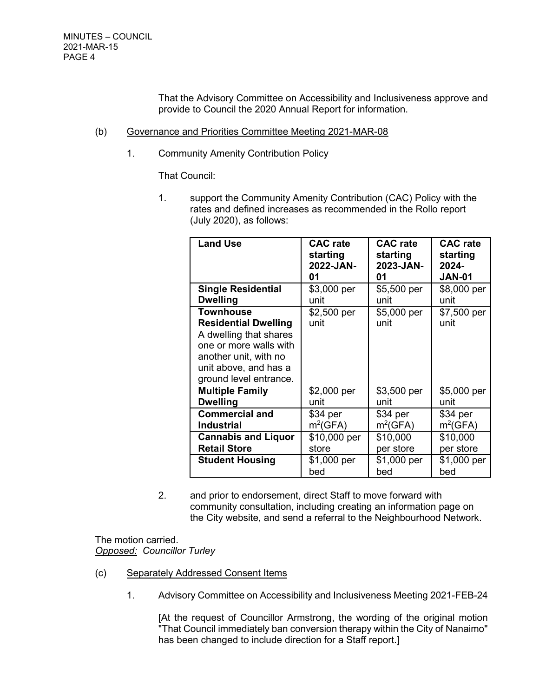That the Advisory Committee on Accessibility and Inclusiveness approve and provide to Council the 2020 Annual Report for information.

#### (b) Governance and Priorities Committee Meeting 2021-MAR-08

1. Community Amenity Contribution Policy

That Council:

1. support the Community Amenity Contribution (CAC) Policy with the rates and defined increases as recommended in the Rollo report (July 2020), as follows:

| <b>Land Use</b>                                                                                                                                                                 | <b>CAC</b> rate     | <b>CAC</b> rate     | <b>CAC</b> rate     |
|---------------------------------------------------------------------------------------------------------------------------------------------------------------------------------|---------------------|---------------------|---------------------|
|                                                                                                                                                                                 | starting            | starting            | starting            |
|                                                                                                                                                                                 | 2022-JAN-           | 2023-JAN-           | $2024 -$            |
|                                                                                                                                                                                 | 01                  | 01                  | <b>JAN-01</b>       |
| <b>Single Residential</b>                                                                                                                                                       | \$3,000 per         | \$5,500 per         | \$8,000 per         |
| <b>Dwelling</b>                                                                                                                                                                 | unit                | unit                | unit                |
| <b>Townhouse</b><br><b>Residential Dwelling</b><br>A dwelling that shares<br>one or more walls with<br>another unit, with no<br>unit above, and has a<br>ground level entrance. | \$2,500 per<br>unit | \$5,000 per<br>unit | \$7,500 per<br>unit |
| <b>Multiple Family</b>                                                                                                                                                          | \$2,000 per         | \$3,500 per         | \$5,000 per         |
| <b>Dwelling</b>                                                                                                                                                                 | unit                | unit                | unit                |
| <b>Commercial and</b>                                                                                                                                                           | \$34 per            | \$34 per            | $$34$ per           |
| <b>Industrial</b>                                                                                                                                                               | $m^2(GFA)$          | $m^2(GFA)$          | $m^2(GFA)$          |
| <b>Cannabis and Liquor</b>                                                                                                                                                      | \$10,000 per        | \$10,000            | \$10,000            |
| <b>Retail Store</b>                                                                                                                                                             | store               | per store           | per store           |
| <b>Student Housing</b>                                                                                                                                                          | \$1,000 per         | \$1,000 per         | \$1,000 per         |
|                                                                                                                                                                                 | bed                 | bed                 | bed                 |

2. and prior to endorsement, direct Staff to move forward with community consultation, including creating an information page on the City website, and send a referral to the Neighbourhood Network.

The motion carried. *Opposed: Councillor Turley*

- (c) Separately Addressed Consent Items
	- 1. Advisory Committee on Accessibility and Inclusiveness Meeting 2021-FEB-24

[At the request of Councillor Armstrong, the wording of the original motion "That Council immediately ban conversion therapy within the City of Nanaimo" has been changed to include direction for a Staff report.]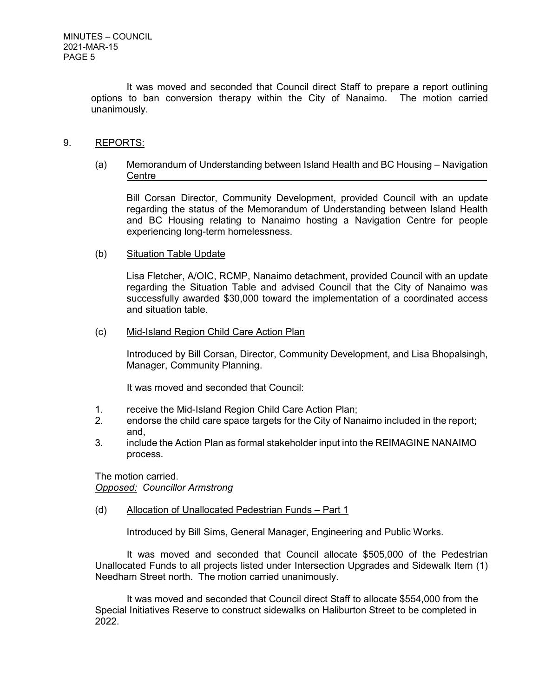It was moved and seconded that Council direct Staff to prepare a report outlining options to ban conversion therapy within the City of Nanaimo. The motion carried unanimously.

#### 9. REPORTS:

(a) Memorandum of Understanding between Island Health and BC Housing – Navigation Centre

Bill Corsan Director, Community Development, provided Council with an update regarding the status of the Memorandum of Understanding between Island Health and BC Housing relating to Nanaimo hosting a Navigation Centre for people experiencing long-term homelessness.

#### (b) Situation Table Update

Lisa Fletcher, A/OIC, RCMP, Nanaimo detachment, provided Council with an update regarding the Situation Table and advised Council that the City of Nanaimo was successfully awarded \$30,000 toward the implementation of a coordinated access and situation table.

#### (c) Mid-Island Region Child Care Action Plan

Introduced by Bill Corsan, Director, Community Development, and Lisa Bhopalsingh, Manager, Community Planning.

It was moved and seconded that Council:

- 1. receive the Mid-Island Region Child Care Action Plan;
- 2. endorse the child care space targets for the City of Nanaimo included in the report; and,
- 3. include the Action Plan as formal stakeholder input into the REIMAGINE NANAIMO process.

The motion carried. *Opposed: Councillor Armstrong*

# (d) Allocation of Unallocated Pedestrian Funds – Part 1

Introduced by Bill Sims, General Manager, Engineering and Public Works.

It was moved and seconded that Council allocate \$505,000 of the Pedestrian Unallocated Funds to all projects listed under Intersection Upgrades and Sidewalk Item (1) Needham Street north. The motion carried unanimously.

It was moved and seconded that Council direct Staff to allocate \$554,000 from the Special Initiatives Reserve to construct sidewalks on Haliburton Street to be completed in 2022.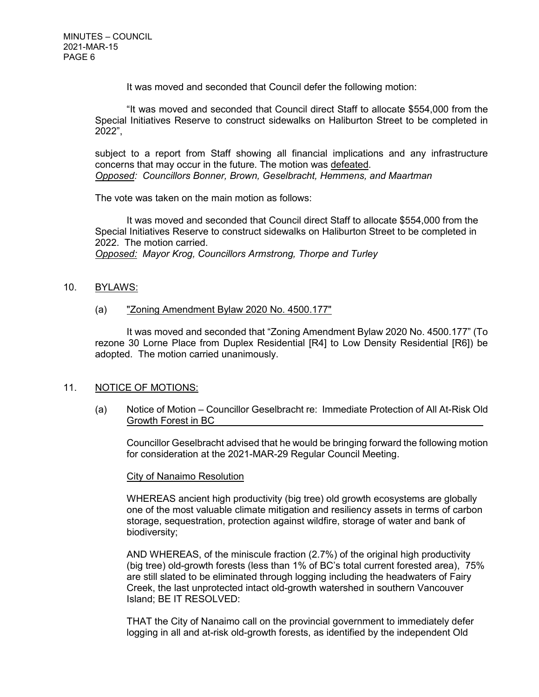It was moved and seconded that Council defer the following motion:

"It was moved and seconded that Council direct Staff to allocate \$554,000 from the Special Initiatives Reserve to construct sidewalks on Haliburton Street to be completed in 2022",

subject to a report from Staff showing all financial implications and any infrastructure concerns that may occur in the future. The motion was defeated. *Opposed: Councillors Bonner, Brown, Geselbracht, Hemmens, and Maartman*

The vote was taken on the main motion as follows:

It was moved and seconded that Council direct Staff to allocate \$554,000 from the Special Initiatives Reserve to construct sidewalks on Haliburton Street to be completed in 2022. The motion carried.

*Opposed: Mayor Krog, Councillors Armstrong, Thorpe and Turley* 

10. BYLAWS:

# (a) "Zoning Amendment Bylaw 2020 No. 4500.177"

It was moved and seconded that "Zoning Amendment Bylaw 2020 No. 4500.177" (To rezone 30 Lorne Place from Duplex Residential [R4] to Low Density Residential [R6]) be adopted. The motion carried unanimously.

# 11. NOTICE OF MOTIONS:

(a) Notice of Motion – Councillor Geselbracht re: Immediate Protection of All At-Risk Old Growth Forest in BC

Councillor Geselbracht advised that he would be bringing forward the following motion for consideration at the 2021-MAR-29 Regular Council Meeting.

#### City of Nanaimo Resolution

WHEREAS ancient high productivity (big tree) old growth ecosystems are globally one of the most valuable climate mitigation and resiliency assets in terms of carbon storage, sequestration, protection against wildfire, storage of water and bank of biodiversity;

AND WHEREAS, of the miniscule fraction (2.7%) of the original high productivity (big tree) old-growth forests (less than 1% of BC's total current forested area), 75% are still slated to be eliminated through logging including the headwaters of Fairy Creek, the last unprotected intact old-growth watershed in southern Vancouver Island; BE IT RESOLVED:

THAT the City of Nanaimo call on the provincial government to immediately defer logging in all and at-risk old-growth forests, as identified by the independent Old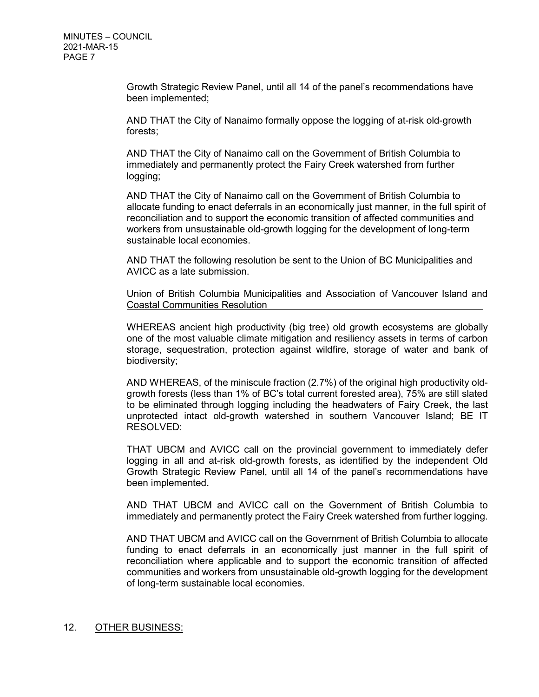Growth Strategic Review Panel, until all 14 of the panel's recommendations have been implemented;

AND THAT the City of Nanaimo formally oppose the logging of at-risk old-growth forests;

AND THAT the City of Nanaimo call on the Government of British Columbia to immediately and permanently protect the Fairy Creek watershed from further logging;

AND THAT the City of Nanaimo call on the Government of British Columbia to allocate funding to enact deferrals in an economically just manner, in the full spirit of reconciliation and to support the economic transition of affected communities and workers from unsustainable old-growth logging for the development of long-term sustainable local economies.

AND THAT the following resolution be sent to the Union of BC Municipalities and AVICC as a late submission.

Union of British Columbia Municipalities and Association of Vancouver Island and Coastal Communities Resolution

WHEREAS ancient high productivity (big tree) old growth ecosystems are globally one of the most valuable climate mitigation and resiliency assets in terms of carbon storage, sequestration, protection against wildfire, storage of water and bank of biodiversity;

AND WHEREAS, of the miniscule fraction (2.7%) of the original high productivity oldgrowth forests (less than 1% of BC's total current forested area), 75% are still slated to be eliminated through logging including the headwaters of Fairy Creek, the last unprotected intact old-growth watershed in southern Vancouver Island; BE IT RESOLVED:

THAT UBCM and AVICC call on the provincial government to immediately defer logging in all and at-risk old-growth forests, as identified by the independent Old Growth Strategic Review Panel, until all 14 of the panel's recommendations have been implemented.

AND THAT UBCM and AVICC call on the Government of British Columbia to immediately and permanently protect the Fairy Creek watershed from further logging.

AND THAT UBCM and AVICC call on the Government of British Columbia to allocate funding to enact deferrals in an economically just manner in the full spirit of reconciliation where applicable and to support the economic transition of affected communities and workers from unsustainable old-growth logging for the development of long-term sustainable local economies.

#### 12. OTHER BUSINESS: